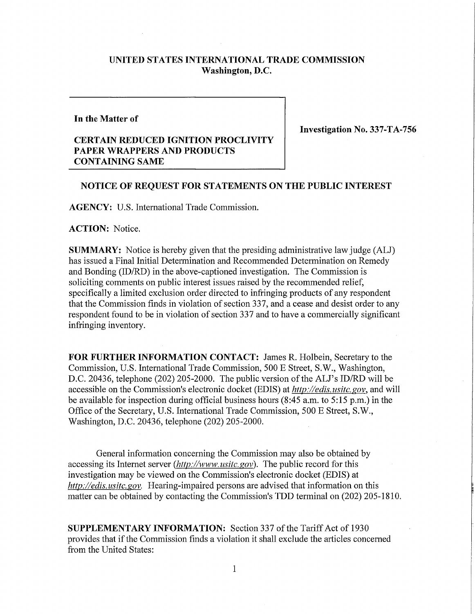## **UNITED STATES INTERNATIONAL TRADE COMMISSION Washington, D.C.**

**In the Matter of** 

## **CERTAIN REDUCED IGNITION PROCLIVITY PAPER WRAPPERS AND PRODUCTS CONTAINING SAME**

**Investigation No. 337-TA-756** 

## **NOTICE OF REQUEST FOR STATEMENTS ON THE PUBLIC INTEREST**

**AGENCY:** U.S. International Trade Commission.

**ACTION:** Notice.

**SUMMARY:** Notice is hereby given that the presiding administrative law judge (ALJ) has issued a Final Initial Determination and Recommended Determination on Remedy and Bonding (ID/RD) in the above-captioned investigation. The Commission is soliciting comments on public interest issues raised by the recommended relief, specifically a limited exclusion order directed to infringing products of any respondent that the Commission finds in violation of section 337, and a cease and desist order to any respondent found to be in violation of section 337 and to have a commercially significant infringing inventory.

**FOR FURTHER INFORMATION CONTACT:** James R. Holbein, Secretary to the Commission, U.S. International Trade Commission, 500 E Street, S.W., Washington, D.C. 20436, telephone (202) 205-2000. The public version of the ALJ's ID/RD will be accessible on the Commission's electronic docket (EDIS) at *http://edis. usitc. gov,* and will be available for inspection during official business hours (8:45 a.m. to 5:15 p.m.) in the Office of the Secretary, U.S. International Trade Commission, 500 E Street, S.W., Washington, D.C. 20436, telephone (202) 205-2000.

General information concerning the Commission may also be obtained by accessing its Internet server *(http://www. usitc. gov).* The public record for this investigation may be viewed on the Commission's electronic docket (EDIS) at *http://edis. usitc gov.* Hearing-impaired persons are advised that information on this matter can be obtained by contacting the Commission's TDD terminal on (202) 205-1810.

**SUPPLEMENTARY INFORMATION:** Section 337 of the Tariff Act of 1930 provides that if the Commission finds a violation it shall exclude the articles concerned from the United States: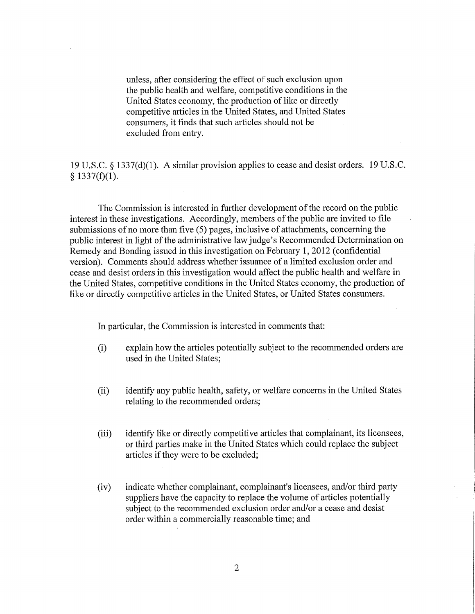unless, after considering the effect of such exclusion upon the public health and welfare, competitive conditions in the United States economy, the production of like or directly competitive articles in the United States, and United States consumers, it finds that such articles should not be excluded from entry.

19 U.S.C. § 1337(d)(1). A similar provision applies to cease and desist orders. 19 U.S.C. § 1337(f)(1).

The Commission is interested in further development of the record on the public interest in these investigations. Accordingly, members of the public are invited to file submissions of no more than five (5) pages, inclusive of attachments, concerning the public interest in light of the administrative law judge's Recommended Determination on Remedy and Bonding issued in this investigation on February 1, 2012 (confidential version). Comments should address whether issuance of a limited exclusion order and cease and desist orders in this investigation would affect the public health and welfare in the United States, competitive conditions in the United States economy, the production of like or directly competitive articles in the United States, or United States consumers.

In particular, the Commission is interested in comments that:

- (i) explain how the articles potentially subject to the recommended orders are used in the United States;
- (ii) identify any public health, safety, or welfare concerns in the United States relating to the recommended orders;
- (iii) identify like or directly competitive articles that complainant, its licensees, or third parties make in the United States which could replace the subject articles if they were to be excluded;
- (iv) indicate whether complainant, complainant's licensees, and/or third party suppliers have the capacity to replace the volume of articles potentially subject to the recommended exclusion order and/or a cease and desist order within a commercially reasonable time; and